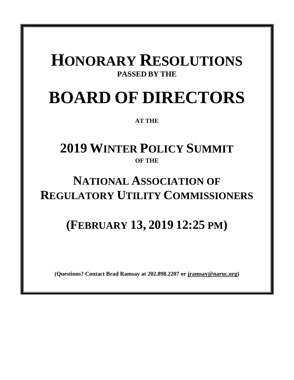### **HONORARY RESOLUTIONS PASSED BY THE**

# **BOARD OF DIRECTORS**

**AT THE**

### **2019 WINTER POLICY SUMMIT OF THE**

### **NATIONAL ASSOCIATION OF REGULATORY UTILITY COMMISSIONERS**

## **(FEBRUARY 13, 2019 12:25 PM)**

**(Questions? Contact Brad Ramsay at 202.898.2207 or [jramsay@naruc.org\)](mailto:jramsay@naruc.org)**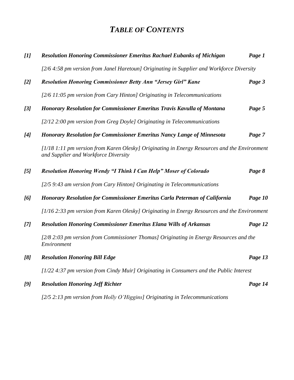### *TABLE OF CONTENTS*

| $[1]$ | <b>Resolution Honoring Commissioner Emeritus Rachael Eubanks of Michigan</b>                                                         | Page 1  |
|-------|--------------------------------------------------------------------------------------------------------------------------------------|---------|
|       | [2/6 4:58 pm version from Janel Haretoun] Originating in Supplier and Workforce Diversity                                            |         |
| [2]   | <b>Resolution Honoring Commissioner Betty Ann "Jersey Girl" Kane</b>                                                                 | Page 3  |
|       | [2/6 11:05 pm version from Cary Hinton] Originating in Telecommunications                                                            |         |
| [3]   | <b>Honorary Resolution for Commissioner Emeritus Travis Kavulla of Montana</b>                                                       | Page 5  |
|       | [2/12 2:00 pm version from Greg Doyle] Originating in Telecommunications                                                             |         |
| [4]   | <b>Honorary Resolution for Commissioner Emeritus Nancy Lange of Minnesota</b>                                                        | Page 7  |
|       | [1/18 1:11 pm version from Karen Olesky] Originating in Energy Resources and the Environment<br>and Supplier and Workforce Diversity |         |
| [5]   | <b>Resolution Honoring Wendy "I Think I Can Help" Moser of Colorado</b>                                                              | Page 8  |
|       | [2/5 9:43 am version from Cary Hinton] Originating in Telecommunications                                                             |         |
| [6]   | Honorary Resolution for Commissioner Emeritus Carla Peterman of California                                                           | Page 10 |
|       | [1/16 2:33 pm version from Karen Olesky] Originating in Energy Resources and the Environment                                         |         |
| [7]   | <b>Resolution Honoring Commissioner Emeritus Elana Wills of Arkansas</b>                                                             | Page 12 |
|       | [2/8 2:03 pm version from Commissioner Thomas] Originating in Energy Resources and the<br>Environment                                |         |
| [8]   | <b>Resolution Honoring Bill Edge</b>                                                                                                 | Page 13 |
|       | [1/22 4:37 pm version from Cindy Muir] Originating in Consumers and the Public Interest                                              |         |
| [9]   | <b>Resolution Honoring Jeff Richter</b>                                                                                              | Page 14 |
|       | [2/5 2:13 pm version from Holly O'Higgins] Originating in Telecommunications                                                         |         |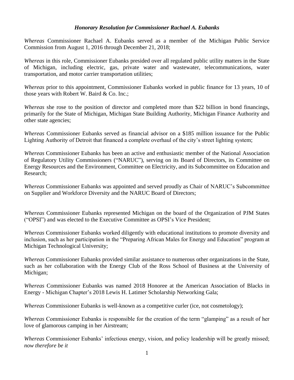#### *Honorary Resolution for Commissioner Rachael A. Eubanks*

*Whereas* Commissioner Rachael A. Eubanks served as a member of the Michigan Public Service Commission from August 1, 2016 through December 21, 2018;

*Whereas* in this role, Commissioner Eubanks presided over all regulated public utility matters in the State of Michigan, including electric, gas, private water and wastewater, telecommunications, water transportation, and motor carrier transportation utilities;

*Whereas* prior to this appointment, Commissioner Eubanks worked in public finance for 13 years, 10 of those years with Robert W. Baird & Co. Inc.;

*Whereas* she rose to the position of director and completed more than \$22 billion in bond financings, primarily for the State of Michigan, Michigan State Building Authority, Michigan Finance Authority and other state agencies;

*Whereas* Commissioner Eubanks served as financial advisor on a \$185 million issuance for the Public Lighting Authority of Detroit that financed a complete overhaul of the city's street lighting system;

*Whereas* Commissioner Eubanks has been an active and enthusiastic member of the National Association of Regulatory Utility Commissioners ("NARUC"), serving on its Board of Directors, its Committee on Energy Resources and the Environment, Committee on Electricity, and its Subcommittee on Education and Research;

*Whereas* Commissioner Eubanks was appointed and served proudly as Chair of NARUC's Subcommittee on Supplier and Workforce Diversity and the NARUC Board of Directors;

*Whereas* Commissioner Eubanks represented Michigan on the board of the Organization of PJM States ("OPSI") and was elected to the Executive Committee as OPSI's Vice President;

*Whereas* Commissioner Eubanks worked diligently with educational institutions to promote diversity and inclusion, such as her participation in the "Preparing African Males for Energy and Education" program at Michigan Technological University;

*Whereas* Commissioner Eubanks provided similar assistance to numerous other organizations in the State, such as her collaboration with the Energy Club of the Ross School of Business at the University of Michigan;

*Whereas* Commissioner Eubanks was named 2018 Honoree at the American Association of Blacks in Energy - Michigan Chapter's 2018 Lewis H. Latimer Scholarship Networking Gala;

*Whereas* Commissioner Eubanks is well-known as a competitive curler (ice, not cosmetology);

*Whereas* Commissioner Eubanks is responsible for the creation of the term "glamping" as a result of her love of glamorous camping in her Airstream;

*Whereas* Commissioner Eubanks' infectious energy, vision, and policy leadership will be greatly missed; *now therefore be it*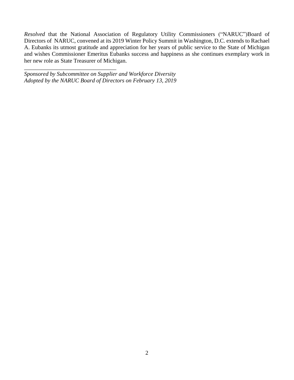*Resolved* that the National Association of Regulatory Utility Commissioners ("NARUC")Board of Directors of NARUC, convened at its 2019 Winter Policy Summit in Washington, D.C. extends to Rachael A. Eubanks its utmost gratitude and appreciation for her years of public service to the State of Michigan and wishes Commissioner Emeritus Eubanks success and happiness as she continues exemplary work in her new role as State Treasurer of Michigan.

*Sponsored by Subcommittee on Supplier and Workforce Diversity Adopted by the NARUC Board of Directors on February 13, 2019*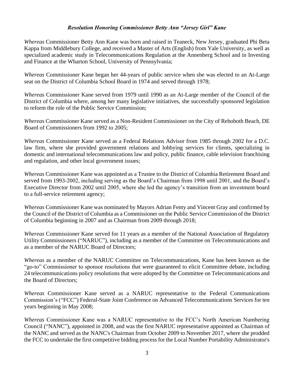#### *Resolution Honoring Commissioner Betty Ann "Jersey Girl" Kane*

*Whereas* Commissioner Betty Ann Kane was born and raised in Teaneck, New Jersey, graduated Phi Beta Kappa from Middlebury College, and received a Master of Arts (English) from Yale University, as well as specialized academic study in Telecommunications Regulation at the Annenberg School and in Investing and Finance at the Wharton School, University of Pennsylvania;

*Whereas* Commissioner Kane began her 44-years of public service when she was elected to an At-Large seat on the District of Columbia School Board in 1974 and served through 1978;

*Whereas* Commissioner Kane served from 1979 until 1990 as an At-Large member of the Council of the District of Columbia where, among her many legislative initiatives, she successfully sponsored legislation to reform the role of the Public Service Commission;

*Wherea*s Commissioner Kane served as a Non-Resident Commissioner on the City of Rehoboth Beach, DE Board of Commissioners from 1992 to 2005;

*Whereas* Commissioner Kane served as a Federal Relations Advisor from 1985 through 2002 for a D.C. law firm, where she provided government relations and lobbying services for clients, specializing in domestic and international telecommunications law and policy, public finance, cable television franchising and regulation, and other local government issues;

*Whereas* Commissioner Kane was appointed as a Trustee to the District of Columbia Retirement Board and served from 1993-2002, including serving as the Board's Chairman from 1998 until 2001, and the Board's Executive Director from 2002 until 2005, where she led the agency's transition from an investment board to a full-service retirement agency;

*Whereas* Commissioner Kane was nominated by Mayors Adrian Fenty and Vincent Gray and confirmed by the Council of the District of Columbia as a Commissioner on the Public Service Commission of the District of Columbia beginning in 2007 and as Chairman from 2009 through 2018;

*Whereas* Commissioner Kane served for 11 years as a member of the National Association of Regulatory Utility Commissioners ("NARUC"), including as a member of the Committee on Telecommunications and as a member of the NARUC Board of Directors;

*Whereas* as a member of the NARUC Committee on Telecommunications, Kane has been known as the "go-to" Commissioner to sponsor resolutions that were guaranteed to elicit Committee debate, including 24 telecommunications policy resolutions that were adopted by the Committee on Telecommunications and the Board of Directors;

*Whereas* Commissioner Kane served as a NARUC representative to the Federal Communications Commission's ("FCC") Federal-State Joint Conference on Advanced Telecommunications Services for ten years beginning in May 2008;

*Whereas* Commissioner Kane was a NARUC representative to the FCC's North American Numbering Council ("NANC"), appointed in 2008, and was the first NARUC representative appointed as Chairman of the NANC and served as the NANC's Chairman from October 2009 to November 2017, where she prodded the FCC to undertake the first competitive bidding process for the Local Number Portability Administrator's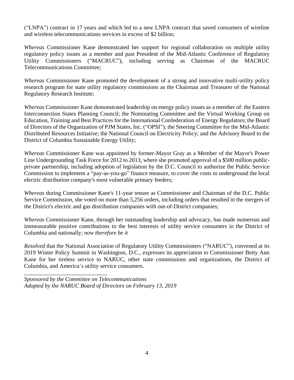("LNPA") contract in 17 years and which led to a new LNPA contract that saved consumers of wireline and wireless telecommunications services in excess of \$2 billion;

*Whereas* Commissioner Kane demonstrated her support for regional collaboration on multiple utility regulatory policy issues as a member and past President of the Mid-Atlantic Conference of Regulatory Utility Commissioners ("MACRUC"), including serving as Chairman of the MACRUC Telecommunications Committee;

*Whereas* Commissioner Kane promoted the development of a strong and innovative multi-utility policy research program for state utility regulatory commissions as the Chairman and Treasurer of the National Regulatory Research Institute;

*Whereas* Commissioner Kane demonstrated leadership on energy policy issues as a member of: the Eastern Interconnection States Planning Council; the Nominating Committee and the Virtual Working Group on Education, Training and Best Practices for the International Confederation of Energy Regulators; the Board of Directors of the Organization of PJM States, Inc. ("OPSI"); the Steering Committee for the Mid-Atlantic Distributed Resources Initiative; the National Council on Electricity Policy; and the Advisory Board to the District of Columbia Sustainable Energy Utility;

*Whereas* Commissioner Kane was appointed by former-Mayor Gray as a Member of the Mayor's Power Line Undergrounding Task Force for 2012 to 2013, where she promoted approval of a \$500 million publicprivate partnership, including adoption of legislation by the D.C. Council to authorize the Public Service Commission to implement a "pay-as-you-go" finance measure, to cover the costs to underground the local electric distribution company's most vulnerable primary feeders;

*Whereas* during Commissioner Kane's 11-year tenure as Commissioner and Chairman of the D.C. Public Service Commission, she voted on more than 5,256 orders, including orders that resulted in the mergers of the District's electric and gas distribution companies with out-of-District companies;

*Whereas* Commissioner Kane, through her outstanding leadership and advocacy, has made numerous and immeasurable positive contributions to the best interests of utility service consumers in the District of Columbia and nationally; *now therefore be it*

*Resolved* that the National Association of Regulatory Utility Commissioners ("NARUC"), convened at its 2019 Winter Policy Summit in Washington, D.C., expresses its appreciation to Commissioner Betty Ann Kane for her tireless service to NARUC, other state commissions and organizations, the District of Columbia, and America's utility service consumers.

*Sponsored by the Committee on Telecommunications Adopted by the NARUC Board of Directors on February 13, 2019*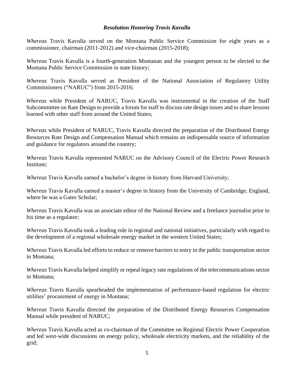#### *Resolution Honoring Travis Kavulla*

*Whereas* Travis Kavulla served on the Montana Public Service Commission for eight years as a commissioner, chairman (2011-2012) and vice-chairman (2015-2018);

*Whereas* Travis Kavulla is a fourth-generation Montanan and the youngest person to be elected to the Montana Public Service Commission in state history;

*Whereas* Travis Kavulla served as President of the National Association of Regulatory Utility Commissioners ("NARUC") from 2015-2016;

*Whereas* while President of NARUC, Travis Kavulla was instrumental in the creation of the Staff Subcommittee on Rate Design to provide a forum for staff to discuss rate design issues and to share lessons learned with other staff from around the United States;

*Whereas* while President of NARUC, Travis Kavulla directed the preparation of the Distributed Energy Resources Rate Design and Compensation Manual which remains an indispensable source of information and guidance for regulators around the country;

*Whereas* Travis Kavulla represented NARUC on the Advisory Council of the Electric Power Research Institute;

*Whereas* Travis Kavulla earned a bachelor's degree in history from Harvard University;

*Whereas* Travis Kavulla earned a master's degree in history from the University of Cambridge, England, where he was a Gates Scholar;

*Whereas* Travis Kavulla was an associate editor of the National Review and a freelance journalist prior to his time as a regulator;

*Whereas* Travis Kavulla took a leading role in regional and national initiatives, particularly with regard to the development of a regional wholesale energy market in the western United States;

*Whereas* Travis Kavulla led efforts to reduce or remove barriers to entry in the public transportation sector in Montana;

*Whereas* Travis Kavulla helped simplify or repeal legacy rate regulations of the telecommunications sector in Montana;

*Whereas* Travis Kavulla spearheaded the implementation of performance-based regulation for electric utilities' procurement of energy in Montana;

*Whereas* Travis Kavulla directed the preparation of the Distributed Energy Resources Compensation Manual while president of NARUC;

*Whereas* Travis Kavulla acted as co-chairman of the Committee on Regional Electric Power Cooperation and led west-wide discussions on energy policy, wholesale electricity markets, and the reliability of the grid;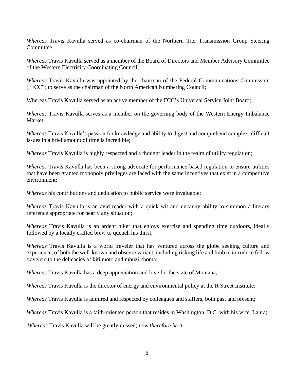*Whereas* Travis Kavulla served as co-chairman of the Northern Tier Transmission Group Steering Committee;

*Whereas* Travis Kavulla served as a member of the Board of Directors and Member Advisory Committee of the Western Electricity Coordinating Council;

*Whereas* Travis Kavulla was appointed by the chairman of the Federal Communications Commission ("FCC") to serve as the chairman of the North American Numbering Council;

Whereas Travis Kavulla served as an active member of the FCC's Universal Service Joint Board;

*Whereas* Travis Kavulla serves as a member on the governing body of the Western Energy Imbalance Market;

*Whereas* Travis Kavulla's passion for knowledge and ability to digest and comprehend complex, difficult issues in a brief amount of time is incredible;

*Whereas* Travis Kavulla is highly respected and a thought leader in the realm of utility regulation;

*Whereas* Travis Kavulla has been a strong advocate for performance-based regulation to ensure utilities that have been granted monopoly privileges are faced with the same incentives that exist in a competitive environment;

*Whereas* his contributions and dedication to public service were invaluable;

*Whereas* Travis Kavulla is an avid reader with a quick wit and uncanny ability to summon a literary reference appropriate for nearly any situation;

*Whereas* Travis Kavulla is an ardent hiker that enjoys exercise and spending time outdoors, ideally followed by a locally crafted brew to quench his thirst;

*Whereas* Travis Kavulla is a world traveler that has ventured across the globe seeking culture and experience, of both the well-known and obscure variant, including risking life and limb to introduce fellow travelers to the delicacies of kiti moto and mbuzi choma;

*Whereas* Travis Kavulla has a deep appreciation and love for the state of Montana;

*Whereas* Travis Kavulla is the director of energy and environmental policy at the R Street Institute;

*Whereas* Travis Kavulla is admired and respected by colleagues and staffers, both past and present;

*Whereas* Travis Kavulla is a faith-oriented person that resides in Washington, D.C. with his wife, Laura;

*Whereas* Travis Kavulla will be greatly missed; *now therefore be it*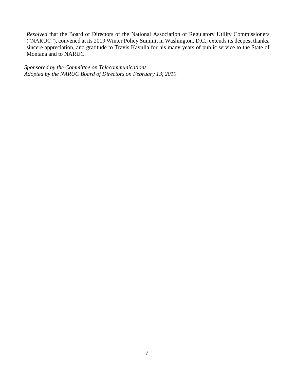*Resolved* that the Board of Directors of the National Association of Regulatory Utility Commissioners ("NARUC"), convened at its 2019 Winter Policy Summit in Washington, D.C., extends its deepest thanks, sincere appreciation, and gratitude to Travis Kavulla for his many years of public service to the State of Montana and to NARUC.

*Sponsored by the Committee on Telecommunications Adopted by the NARUC Board of Directors on February 13, 2019*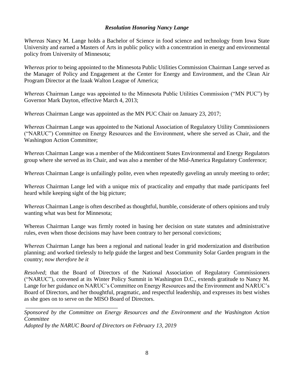#### *Resolution Honoring Nancy Lange*

*Whereas* Nancy M. Lange holds a Bachelor of Science in food science and technology from Iowa State University and earned a Masters of Arts in public policy with a concentration in energy and environmental policy from University of Minnesota;

*Whereas* prior to being appointed to the Minnesota Public Utilities Commission Chairman Lange served as the Manager of Policy and Engagement at the Center for Energy and Environment, and the Clean Air Program Director at the Izaak Walton League of America;

*Whereas* Chairman Lange was appointed to the Minnesota Public Utilities Commission ("MN PUC") by Governor Mark Dayton, effective March 4, 2013;

*Whereas* Chairman Lange was appointed as the MN PUC Chair on January 23, 2017;

*Whereas* Chairman Lange was appointed to the National Association of Regulatory Utility Commissioners ("NARUC") Committee on Energy Resources and the Environment, where she served as Chair, and the Washington Action Committee;

*Whereas* Chairman Lange was a member of the Midcontinent States Environmental and Energy Regulators group where she served as its Chair, and was also a member of the Mid-America Regulatory Conference;

*Whereas* Chairman Lange is unfailingly polite, even when repeatedly gaveling an unruly meeting to order;

*Whereas* Chairman Lange led with a unique mix of practicality and empathy that made participants feel heard while keeping sight of the big picture;

*Whereas* Chairman Lange is often described as thoughtful, humble, considerate of others opinions and truly wanting what was best for Minnesota;

Whereas Chairman Lange was firmly rooted in basing her decision on state statutes and administrative rules, even when those decisions may have been contrary to her personal convictions;

*Whereas* Chairman Lange has been a regional and national leader in grid modernization and distribution planning; and worked tirelessly to help guide the largest and best Community Solar Garden program in the country; *now therefore be it*

*Resolved*; that the Board of Directors of the National Association of Regulatory Commissioners ("NARUC"), convened at its Winter Policy Summit in Washington D.C., extends gratitude to Nancy M. Lange for her guidance on NARUC's Committee on Energy Resources and the Environment and NARUC's Board of Directors, and her thoughtful, pragmatic, and respectful leadership, and expresses its best wishes as she goes on to serve on the MISO Board of Directors.

*Sponsored by the Committee on Energy Resources and the Environment and the Washington Action Committee*

*Adopted by the NARUC Board of Directors on February 13, 2019*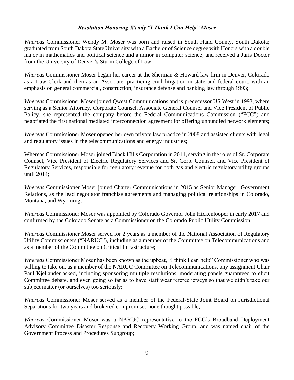#### *Resolution Honoring Wendy "I Think I Can Help" Moser*

*Whereas* Commissioner Wendy M. Moser was born and raised in South Hand County, South Dakota; graduated from South Dakota State University with a Bachelor of Science degree with Honors with a double major in mathematics and political science and a minor in computer science; and received a Juris Doctor from the University of Denver's Sturm College of Law;

*Whereas* Commissioner Moser began her career at the Sherman & Howard law firm in Denver, Colorado as a Law Clerk and then as an Associate, practicing civil litigation in state and federal court, with an emphasis on general commercial, construction, insurance defense and banking law through 1993;

*Whereas* Commissioner Moser joined Qwest Communications and is predecessor US West in 1993, where serving as a Senior Attorney, Corporate Counsel, Associate General Counsel and Vice President of Public Policy, she represented the company before the Federal Communications Commission ("FCC") and negotiated the first national mediated interconnection agreement for offering unbundled network elements;

*Wherea*s Commissioner Moser opened her own private law practice in 2008 and assisted clients with legal and regulatory issues in the telecommunications and energy industries;

Whereas Commissioner Moser joined Black Hills Corporation in 2011, serving in the roles of Sr. Corporate Counsel, Vice President of Electric Regulatory Services and Sr. Corp. Counsel, and Vice President of Regulatory Services, responsible for regulatory revenue for both gas and electric regulatory utility groups until 2014;

*Whereas* Commissioner Moser joined Charter Communications in 2015 as Senior Manager, Government Relations, as the lead negotiator franchise agreements and managing political relationships in Colorado, Montana, and Wyoming;

*Whereas* Commissioner Moser was appointed by Colorado Governor John Hickenlooper in early 2017 and confirmed by the Colorado Senate as a Commissioner on the Colorado Public Utility Commission;

*Whereas* Commissioner Moser served for 2 years as a member of the National Association of Regulatory Utility Commissioners ("NARUC"), including as a member of the Committee on Telecommunications and as a member of the Committee on Critical Infrastructure;

*Whereas* Commissioner Moser has been known as the upbeat, "I think I can help" Commissioner who was willing to take on, as a member of the NARUC Committee on Telecommunications, any assignment Chair Paul Kjellander asked, including sponsoring multiple resolutions, moderating panels guaranteed to elicit Committee debate, and even going so far as to have staff wear referee jerseys so that we didn't take our subject matter (or ourselves) too seriously;

*Whereas* Commissioner Moser served as a member of the Federal-State Joint Board on Jurisdictional Separations for two years and brokered compromises none thought possible;

*Whereas* Commissioner Moser was a NARUC representative to the FCC's Broadband Deployment Advisory Committee Disaster Response and Recovery Working Group, and was named chair of the Government Process and Procedures Subgroup;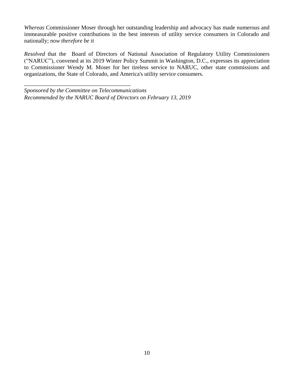*Whereas* Commissioner Moser through her outstanding leadership and advocacy has made numerous and immeasurable positive contributions in the best interests of utility service consumers in Colorado and nationally; *now therefore be it*

*Resolved* that the Board of Directors of National Association of Regulatory Utility Commissioners ("NARUC"), convened at its 2019 Winter Policy Summit in Washington, D.C., expresses its appreciation to Commissioner Wendy M. Moser for her tireless service to NARUC, other state commissions and organizations, the State of Colorado, and America's utility service consumers.

*Sponsored by the Committee on Telecommunications Recommended by the NARUC Board of Directors on February 13, 2019*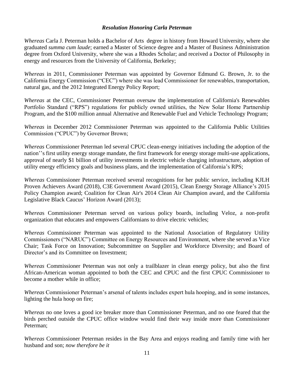#### *Resolution Honoring Carla Peterman*

*Whereas* Carla J. Peterman holds a Bachelor of Arts degree in history from Howard University, where she graduated *summa cum laude*; earned a Master of Science degree and a Master of Business Administration degree from Oxford University, where she was a Rhodes Scholar; and received a Doctor of Philosophy in energy and resources from the University of California, Berkeley;

*Whereas* in 2011, Commissioner Peterman was appointed by Governor Edmund G. Brown, Jr. to the California Energy Commission ("CEC") where she was lead Commissioner for renewables, transportation, natural gas, and the 2012 Integrated Energy Policy Report;

*Whereas* at the CEC, Commissioner Peterman oversaw the implementation of California's Renewables Portfolio Standard ("RPS") regulations for publicly owned utilities, the New Solar Home Partnership Program, and the \$100 million annual Alternative and Renewable Fuel and Vehicle Technology Program;

*Whereas* in December 2012 Commissioner Peterman was appointed to the California Public Utilities Commission ("CPUC") by Governor Brown;

*Whereas* Commissioner Peterman led several CPUC clean-energy initiatives including the adoption of the nation''s first utility energy storage mandate, the first framework for energy storage multi-use applications, approval of nearly \$1 billion of utility investments in electric vehicle charging infrastructure, adoption of utility energy efficiency goals and business plans, and the implementation of California's RPS;

*Whereas* Commissioner Peterman received several recognitions for her public service, including KJLH Proven Achievers Award (2018), C3E Government Award (2015), Clean Energy Storage Alliance's 2015 Policy Champion award; Coalition for Clean Air's 2014 Clean Air Champion award, and the California Legislative Black Caucus' Horizon Award (2013);

*Wherea*s Commissioner Peterman served on various policy boards, including Veloz, a non-profit organization that educates and empowers Californians to drive electric vehicles;

*Whereas* Commissioner Peterman was appointed to the National Association of Regulatory Utility Commissioners ("NARUC") Committee on Energy Resources and Environment, where she served as Vice Chair; Task Force on Innovation; Subcommittee on Supplier and Workforce Diversity; and Board of Director's and its Committee on Investment;

*Whereas* Commissioner Peterman was not only a trailblazer in clean energy policy, but also the first African-American woman appointed to both the CEC and CPUC and the first CPUC Commissioner to become a mother while in office;

*Whereas* Commissioner Peterman's arsenal of talents includes expert hula hooping, and in some instances, lighting the hula hoop on fire;

*Whereas* no one loves a good ice breaker more than Commissioner Peterman, and no one feared that the birds perched outside the CPUC office window would find their way inside more than Commissioner Peterman;

*Whereas* Commissioner Peterman resides in the Bay Area and enjoys reading and family time with her husband and son; *now therefore be it*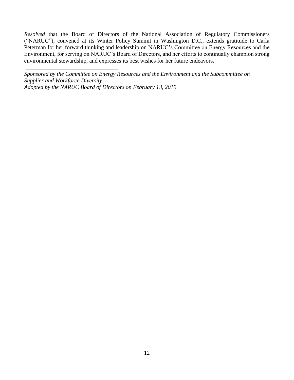*Resolved* that the Board of Directors of the National Association of Regulatory Commissioners ("NARUC"), convened at its Winter Policy Summit in Washington D.C., extends gratitude to Carla Peterman for her forward thinking and leadership on NARUC's Committee on Energy Resources and the Environment, for serving on NARUC's Board of Directors, and her efforts to continually champion strong environmental stewardship, and expresses its best wishes for her future endeavors.

*Sponsored by the Committee on Energy Resources and the Environment and the Subcommittee on Supplier and Workforce Diversity Adopted by the NARUC Board of Directors on February 13, 2019*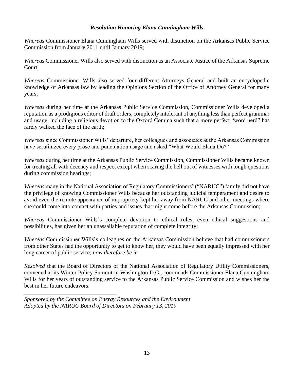#### *Resolution Honoring Elana Cunningham Wills*

*Whereas* Commissioner Elana Cunningham Wills served with distinction on the Arkansas Public Service Commission from January 2011 until January 2019;

*Whereas* Commissioner Wills also served with distinction as an Associate Justice of the Arkansas Supreme Court;

*Whereas* Commissioner Wills also served four different Attorneys General and built an encyclopedic knowledge of Arkansas law by leading the Opinions Section of the Office of Attorney General for many years;

*Whereas* during her time at the Arkansas Public Service Commission, Commissioner Wills developed a reputation as a prodigious editor of draft orders, completely intolerant of anything less than perfect grammar and usage, including a religious devotion to the Oxford Comma such that a more perfect "word nerd" has rarely walked the face of the earth;

*Whereas* since Commissioner Wills' departure, her colleagues and associates at the Arkansas Commission have scrutinized every prose and punctuation usage and asked "What Would Elana Do?"

*Whereas* during her time at the Arkansas Public Service Commission, Commissioner Wills became known for treating all with decency and respect except when scaring the hell out of witnesses with tough questions during commission hearings;

*Whereas* many in the National Association of Regulatory Commissioners' ("NARUC") family did not have the privilege of knowing Commissioner Wills because her outstanding judicial temperament and desire to avoid even the remote appearance of impropriety kept her away from NARUC and other meetings where she could come into contact with parties and issues that might come before the Arkansas Commission;

*Whereas* Commissioner Wills's complete devotion to ethical rules, even ethical suggestions and possibilities, has given her an unassailable reputation of complete integrity;

*Whereas* Commissioner Wills's colleagues on the Arkansas Commission believe that had commissioners from other States had the opportunity to get to know her, they would have been equally impressed with her long career of public service; *now therefore be it*

*Resolved* that the Board of Directors of the National Association of Regulatory Utility Commissioners, convened at its Winter Policy Summit in Washington D.C., commends Commissioner Elana Cunningham Wills for her years of outstanding service to the Arkansas Public Service Commission and wishes her the best in her future endeavors.

*Sponsored by the Committee on Energy Resources and the Environment Adopted by the NARUC Board of Directors on February 13, 2019*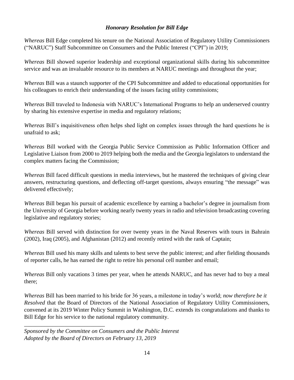#### *Honorary Resolution for Bill Edge*

*Whereas* Bill Edge completed his tenure on the National Association of Regulatory Utility Commissioners ("NARUC") Staff Subcommittee on Consumers and the Public Interest ("CPI") in 2019;

*Whereas* Bill showed superior leadership and exceptional organizational skills during his subcommittee service and was an invaluable resource to its members at NARUC meetings and throughout the year;

*Whereas* Bill was a staunch supporter of the CPI Subcommittee and added to educational opportunities for his colleagues to enrich their understanding of the issues facing utility commissions;

*Whereas* Bill traveled to Indonesia with NARUC's International Programs to help an underserved country by sharing his extensive expertise in media and regulatory relations;

*Whereas* Bill's inquisitiveness often helps shed light on complex issues through the hard questions he is unafraid to ask;

*Whereas* Bill worked with the Georgia Public Service Commission as Public Information Officer and Legislative Liaison from 2000 to 2019 helping both the media and the Georgia legislators to understand the complex matters facing the Commission;

*Whereas* Bill faced difficult questions in media interviews, but he mastered the techniques of giving clear answers, restructuring questions, and deflecting off-target questions, always ensuring "the message" was delivered effectively;

*Whereas* Bill began his pursuit of academic excellence by earning a bachelor's degree in journalism from the University of Georgia before working nearly twenty years in radio and television broadcasting covering legislative and regulatory stories;

*Whereas* Bill served with distinction for over twenty years in the Naval Reserves with tours in Bahrain (2002), Iraq (2005), and Afghanistan (2012) and recently retired with the rank of Captain;

*Whereas* Bill used his many skills and talents to best serve the public interest; and after fielding thousands of reporter calls, he has earned the right to retire his personal cell number and email;

*Whereas* Bill only vacations 3 times per year, when he attends NARUC, and has never had to buy a meal there;

*Whereas* Bill has been married to his bride for 36 years, a milestone in today's world; *now therefore be it Resolved* that the Board of Directors of the National Association of Regulatory Utility Commissioners, convened at its 2019 Winter Policy Summit in Washington, D.C. extends its congratulations and thanks to Bill Edge for his service to the national regulatory community.

*Sponsored by the Committee on Consumers and the Public Interest Adopted by the Board of Directors on February 13, 2019*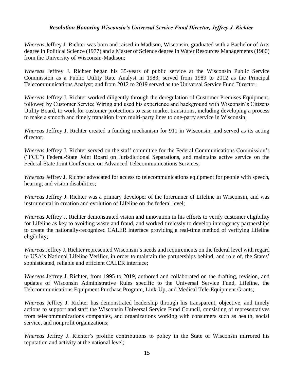#### *Resolution Honoring Wisconsin's Universal Service Fund Director, Jeffrey J. Richter*

*Whereas* Jeffrey J. Richter was born and raised in Madison, Wisconsin, graduated with a Bachelor of Arts degree in Political Science (1977) and a Master of Science degree in Water Resources Managements (1980) from the University of Wisconsin-Madison;

*Whereas* Jeffrey J. Richter began his 35-years of public service at the Wisconsin Public Service Commission as a Public Utility Rate Analyst in 1983; served from 1989 to 2012 as the Principal Telecommunications Analyst; and from 2012 to 2019 served as the Universal Service Fund Director;

*Whereas* Jeffrey J. Richter worked diligently through the deregulation of Customer Premises Equipment, followed by Customer Service Wiring and used his experience and background with Wisconsin's Citizens Utility Board, to work for customer protections to ease market transitions, including developing a process to make a smooth and timely transition from multi-party lines to one-party service in Wisconsin;

*Whereas* Jeffrey J. Richter created a funding mechanism for 911 in Wisconsin, and served as its acting director;

*Whereas* Jeffrey J. Richter served on the staff committee for the Federal Communications Commission's ("FCC") Federal-State Joint Board on Jurisdictional Separations, and maintains active service on the Federal-State Joint Conference on Advanced Telecommunications Services;

*Whereas* Jeffrey J. Richter advocated for access to telecommunications equipment for people with speech, hearing, and vision disabilities;

*Whereas* Jeffrey J. Richter was a primary developer of the forerunner of Lifeline in Wisconsin, and was instrumental in creation and evolution of Lifeline on the federal level;

*Whereas* Jeffrey J. Richter demonstrated vision and innovation in his efforts to verify customer eligibility for Lifeline as key to avoiding waste and fraud, and worked tirelessly to develop interagency partnerships to create the nationally-recognized CALER interface providing a real-time method of verifying Lifeline eligibility;

*Whereas* Jeffrey J. Richter represented Wisconsin's needs and requirements on the federal level with regard to USA's National Lifeline Verifier, in order to maintain the partnerships behind, and role of, the States' sophisticated, reliable and efficient CALER interface;

*Whereas* Jeffrey J. Richter, from 1995 to 2019, authored and collaborated on the drafting, revision, and updates of Wisconsin Administrative Rules specific to the Universal Service Fund, Lifeline, the Telecommunications Equipment Purchase Program, Link-Up, and Medical Tele-Equipment Grants;

*Whereas* Jeffrey J. Richter has demonstrated leadership through his transparent, objective, and timely actions to support and staff the Wisconsin Universal Service Fund Council, consisting of representatives from telecommunications companies, and organizations working with consumers such as health, social service, and nonprofit organizations;

*Whereas* Jeffrey J. Richter's prolific contributions to policy in the State of Wisconsin mirrored his reputation and activity at the national level;